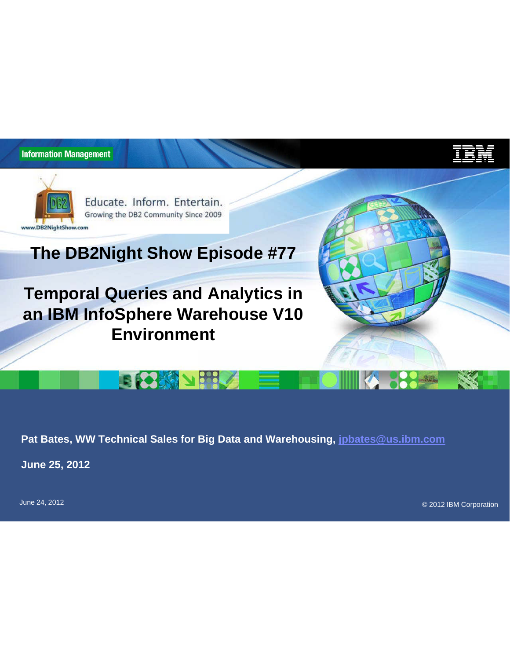

Educate. Inform. Entertain. Growing the DB2 Community Since 2009

# **The DB2Night Show Episode #77**

**Temporal Queries and Analytics in an IBM InfoSphere Warehouse V10 Environment**

**EKS AN SSLA** 



**PARTIES** 

**Pat Bates, WW Technical Sales for Big Data and Warehousing, jpbates@us.ibm.com**

**June 25, 2012**

© 2012 IBM Corporation June 24, 2012

1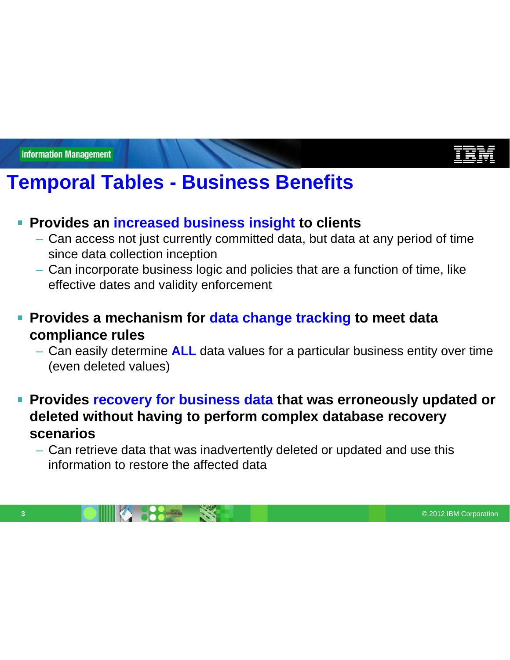# **Temporal Tables - Business Benefits**

#### **Provides an increased business insight to clients**

- Can access not just currently committed data, but data at any period of time since data collection inception
- Can incorporate business logic and policies that are a function of time, like effective dates and validity enforcement
- **Provides a mechanism for data change tracking to meet data compliance rules**
	- Can easily determine **ALL** data values for a particular business entity over time (even deleted values)
- **Provides recovery for business data that was erroneously updated or deleted without having to perform complex database recovery scenarios**
	- Can retrieve data that was inadvertently deleted or updated and use this information to restore the affected data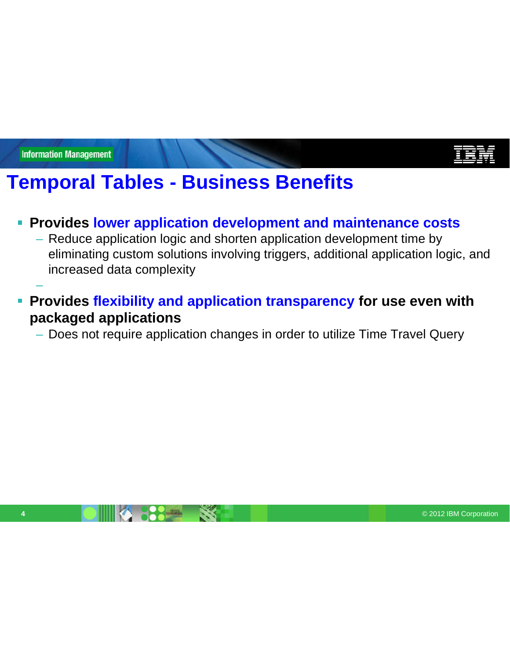–

# **Temporal Tables - Business Benefits**

#### **Provides lower application development and maintenance costs**

- Reduce application logic and shorten application development time by eliminating custom solutions involving triggers, additional application logic, and increased data complexity
- **Provides flexibility and application transparency for use even with packaged applications**

– Does not require application changes in order to utilize Time Travel Query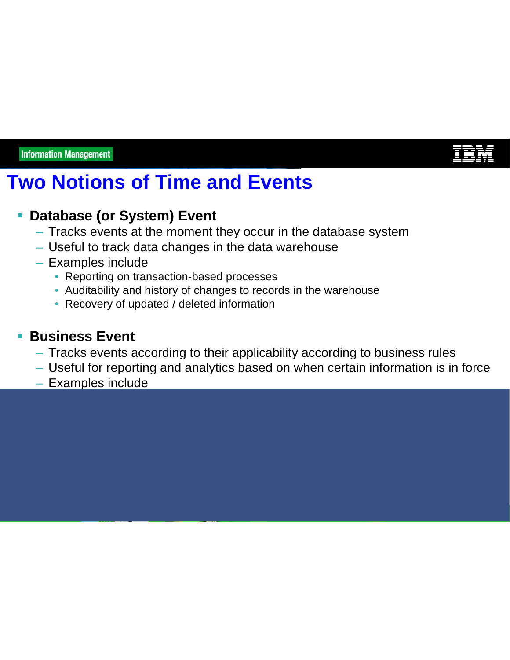

# **Two Notions of Time and Events**

### **Database (or System) Event**

- Tracks events at the moment they occur in the database system
- Useful to track data changes in the data warehouse
- Examples include
	- Reporting on transaction-based processes
	- Auditability and history of changes to records in the warehouse
	- Recovery of updated / deleted information

#### **Business Event**

- Tracks events according to their applicability according to business rules
- Useful for reporting and analytics based on when certain information is in force
- Examples include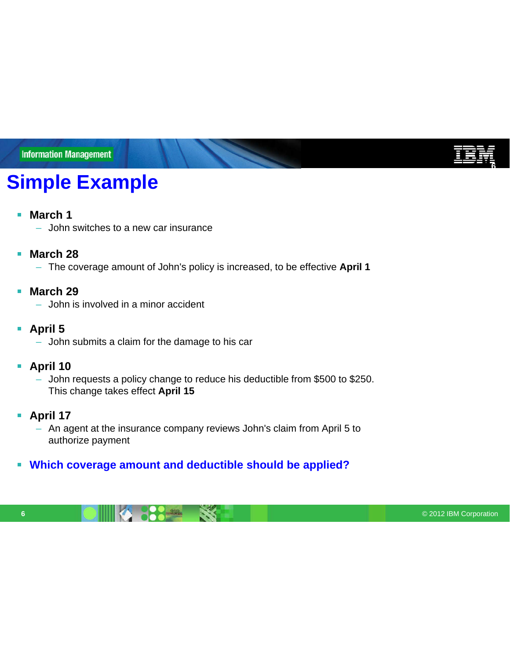# **Simple Example**

#### $\mathbb{R}^n$ **March 1**

– John switches to a new car insurance

#### **March 28**  $\blacksquare$

– The coverage amount of John's policy is increased, to be effective **April 1**

#### **March 29**  $\overline{\phantom{a}}$

- John is involved in a minor accident
- **April 5**
	- John submits a claim for the damage to his car

#### $\overline{\phantom{a}}$ **April 10**

- John requests a policy change to reduce his deductible from \$500 to \$250. This change takes effect **April 15**
- **April 17**  $\overline{\phantom{a}}$ 
	- An agent at the insurance company reviews John's claim from April 5 to authorize payment

#### **Which coverage amount and deductible should be applied?**

**6** © 2012 IBM Corporation

**6**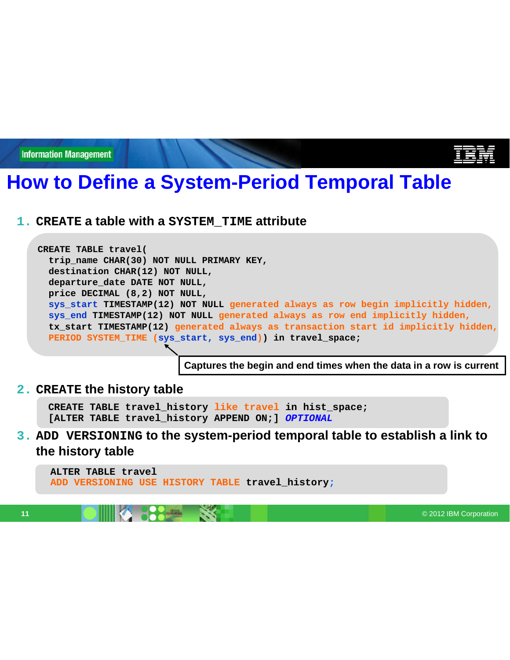# **How to Define a System-Period Temporal Table**

**1. CREATE a table with a SYSTEM\_TIME attribute**

**CREATE TABLE travel( trip\_name CHAR(30) NOT NULL PRIMARY KEY, destination CHAR(12) NOT NULL, departure\_date DATE NOT NULL, price DECIMAL (8,2) NOT NULL, sys\_start TIMESTAMP(12) NOT NULL generated always as row begin implicitly hidden, sys\_end TIMESTAMP(12) NOT NULL generated always as row end implicitly hidden, tx\_start TIMESTAMP(12) generated always as transaction start id implicitly hidden, PERIOD SYSTEM\_TIME (sys\_start, sys\_end)) in travel\_space;**

**Captures the begin and end times when the data in a row is current**

#### **2. CREATE the history table**

**CREATE TABLE travel\_history like travel in hist\_space; [ALTER TABLE travel\_history APPEND ON;]** *OPTIONAL*

#### **3. ADD VERSIONING to the system-period temporal table to establish a link to the history table**

**ALTER TABLE travel ADD VERSIONING USE HISTORY TABLE travel\_history;**

**11** © 2012 IBM Corporation **CONSULTANT CONSULTANT CONSULTANT CONSULTANT CONSULTANT CONSULTANT CONSULTANT CONSULTANT CONSULTANT CONSULTANT CONSULTANT CONSULTANT CONSULTANT CONSULTANT CONSULTANT CONSULTANT CONSULTANT CONSUL**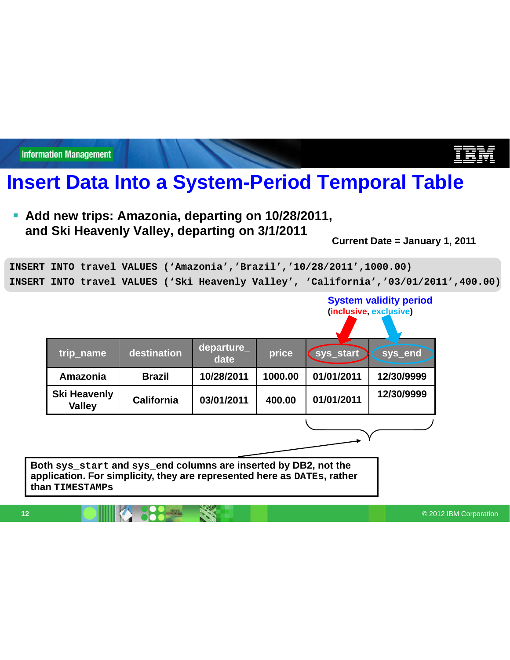**Insert Data Into a System-Period Temporal Table**

**Add new trips: Amazonia, departing on 10/28/2011, and Ski Heavenly Valley, departing on 3/1/2011**

**Current Date = January 1, 2011**

**System validity period (inclusive, exclusive)**

**INSERT INTO travel VALUES ('Amazonia','Brazil','10/28/2011',1000.00) INSERT INTO travel VALUES ('Ski Heavenly Valley', 'California','03/01/2011',400.00)**

| trip_name                            | destination   | departure_<br>date | price   | sys_start  | sys_end    |
|--------------------------------------|---------------|--------------------|---------|------------|------------|
| Amazonia                             | <b>Brazil</b> | 10/28/2011         | 1000.00 | 01/01/2011 | 12/30/9999 |
| <b>Ski Heavenly</b><br><b>Valley</b> | California    | 03/01/2011         | 400.00  | 01/01/2011 | 12/30/9999 |
|                                      |               |                    |         |            |            |

**Both sys\_start and sys\_end columns are inserted by DB2, not the application. For simplicity, they are represented here as DATEs, rather than TIMESTAMPs**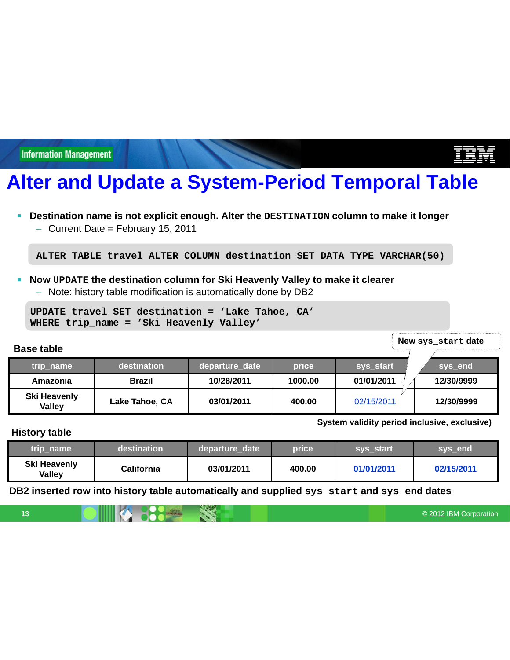# **Alter and Update a System-Period Temporal Table**

- $\blacksquare$ **Destination name is not explicit enough. Alter the DESTINATION column to make it longer**
	- Current Date = February 15, 2011

**ALTER TABLE travel ALTER COLUMN destination SET DATA TYPE VARCHAR(50)**

- **Now UPDATE the destination column for Ski Heavenly Valley to make it clearer**  $\blacksquare$ 
	- Note: history table modification is automatically done by DB2

```
UPDATE travel SET destination = 'Lake Tahoe, CA'
WHERE trip_name = 'Ski Heavenly Valley'
```
**New sys\_start date**

**System validity period inclusive, exclusive)**

| trip_name                            | destination    |            | price   | sys_start  | sys_end    |
|--------------------------------------|----------------|------------|---------|------------|------------|
| Amazonia                             | <b>Brazil</b>  | 10/28/2011 | 1000.00 | 01/01/2011 | 12/30/9999 |
| <b>Ski Heavenly</b><br><b>Valley</b> | Lake Tahoe, CA | 03/01/2011 | 400.00  | 02/15/2011 | 12/30/9999 |

#### **History table**

**Base table**

| trip name                     | destination       | departure date | price' | sys start  | sys end    |  |
|-------------------------------|-------------------|----------------|--------|------------|------------|--|
| <b>Ski Heavenly</b><br>Valley | <b>California</b> | 03/01/2011     | 400.00 | 01/01/2011 | 02/15/2011 |  |

**DB2 inserted row into history table automatically and supplied sys\_start and sys\_end dates**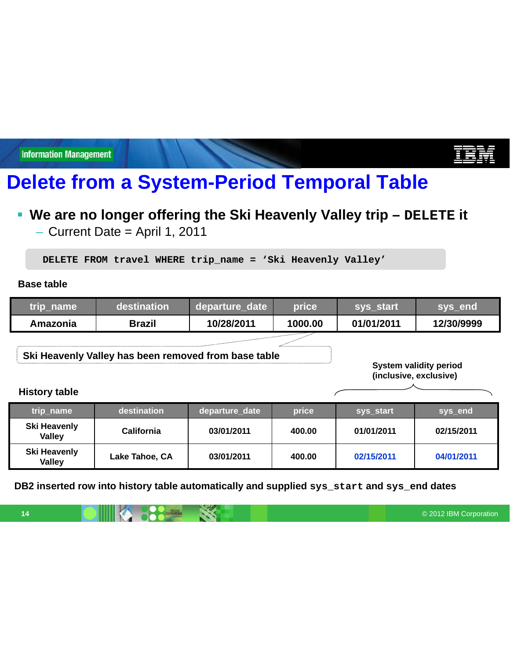# **Delete from a System-Period Temporal Table**

### **We are no longer offering the Ski Heavenly Valley trip – DELETE it**

– Current Date = April 1, 2011

**DELETE FROM travel WHERE trip\_name = 'Ski Heavenly Valley'**

**Base table**

| trip_name | 'destination  | departure date | <b>price</b> | sys start  | <b>ISVS end</b> |
|-----------|---------------|----------------|--------------|------------|-----------------|
| Amazonia  | <b>Brazil</b> | 10/28/2011     | 1000.00      | 01/01/2011 | 12/30/9999      |

**Ski Heavenly Valley has been removed from base table**

**System validity period (inclusive, exclusive)**

#### **History table**

| trip_name                            | destination       |            | price  | sys start  | sys_end    |
|--------------------------------------|-------------------|------------|--------|------------|------------|
| Ski Heavenly<br><b>Valley</b>        | <b>California</b> | 03/01/2011 | 400.00 | 01/01/2011 | 02/15/2011 |
| <b>Ski Heavenly</b><br><b>Valley</b> | Lake Tahoe, CA    | 03/01/2011 | 400.00 | 02/15/2011 | 04/01/2011 |

**DB2 inserted row into history table automatically and supplied sys\_start and sys\_end dates**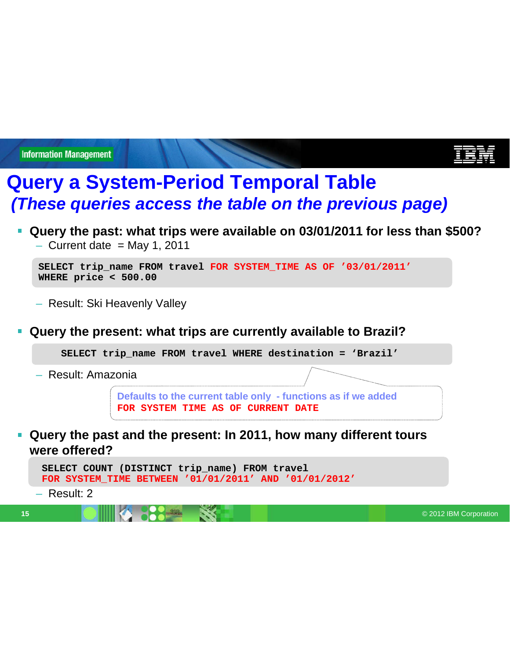# **Query a System-Period Temporal Table** *(These queries access the table on the previous page)*

- **Query the past: what trips were available on 03/01/2011 for less than \$500?**
	- $-$  Current date = May 1, 2011

```
SELECT trip_name FROM travel FOR SYSTEM_TIME AS OF '03/01/2011'
WHERE price < 500.00
```
- Result: Ski Heavenly Valley
- **Query the present: what trips are currently available to Brazil?**

**SELECT trip\_name FROM travel WHERE destination = 'Brazil'**

– Result: Amazonia

**Defaults to the current table only - functions as if we added FOR SYSTEM TIME AS OF CURRENT DATE**

**Query the past and the present: In 2011, how many different tours were offered?**

```
SELECT COUNT (DISTINCT trip_name) FROM travel
FOR SYSTEM_TIME BETWEEN '01/01/2011' AND '01/01/2012'
```
– Result: 2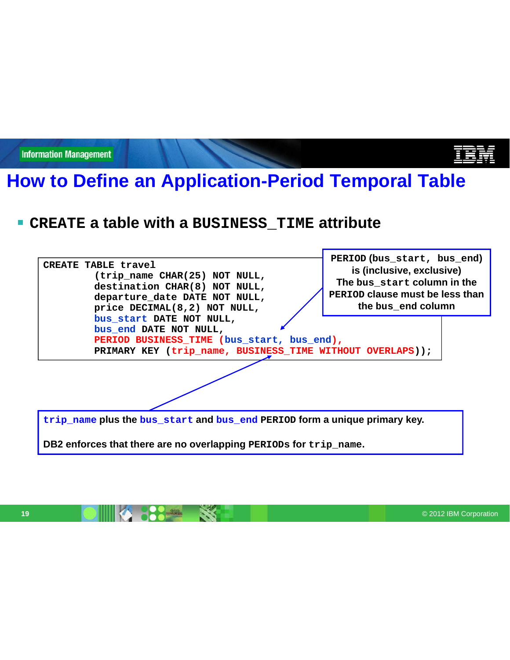# **How to Define an Application-Period Temporal Table**

## **CREATE a table with a BUSINESS\_TIME attribute**

| CREATE TABLE travel<br>(trip_name CHAR(25) NOT NULL,<br>destination CHAR(8) NOT NULL,<br>departure date DATE NOT NULL,<br>price DECIMAL(8,2) NOT NULL,        | PERIOD (bus_start, bus_end)<br>is (inclusive, exclusive)<br>The bus start column in the<br>PERIOD clause must be less than<br>the bus end column |  |  |  |
|---------------------------------------------------------------------------------------------------------------------------------------------------------------|--------------------------------------------------------------------------------------------------------------------------------------------------|--|--|--|
| bus_start DATE NOT NULL,<br>bus end DATE NOT NULL,<br>PERIOD BUSINESS_TIME (bus_start, bus_end),<br>PRIMARY KEY (trip_name, BUSINESS_TIME WITHOUT OVERLAPS)); |                                                                                                                                                  |  |  |  |
|                                                                                                                                                               |                                                                                                                                                  |  |  |  |
| trip name plus the bus start and bus end PERIOD form a unique primary key.                                                                                    |                                                                                                                                                  |  |  |  |

**DB2 enforces that there are no overlapping PERIODs for trip\_name.**

**19 © 2012 IBM Corporation** 

Ë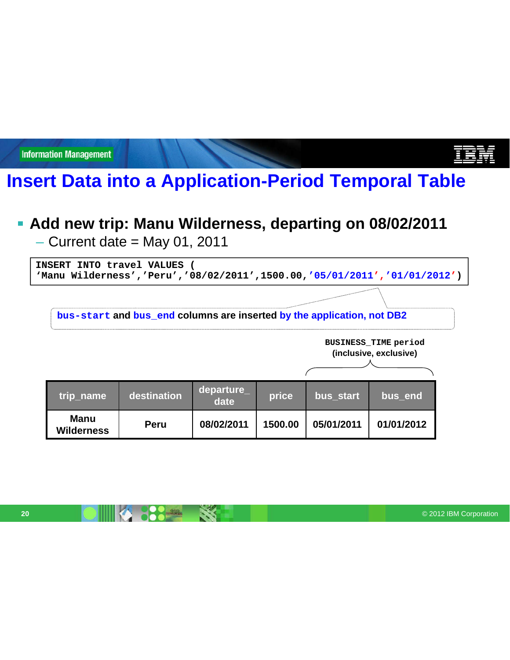## **Insert Data into a Application-Period Temporal Table**

### **Add new trip: Manu Wilderness, departing on 08/02/2011**

 $-$  Current date = May 01, 2011

**INSERT INTO travel VALUES ( 'Manu Wilderness','Peru','08/02/2011',1500.00,'05/01/2011','01/01/2012')**

**bus-start and bus\_end columns are inserted by the application, not DB2**

**BUSINESS\_TIME period (inclusive, exclusive)**

| trip_name                        | destination | departure<br>date | price   | bus start  | bus end    |
|----------------------------------|-------------|-------------------|---------|------------|------------|
| <b>Manu</b><br><b>Wilderness</b> | <b>Peru</b> | 08/02/2011        | 1500.00 | 05/01/2011 | 01/01/2012 |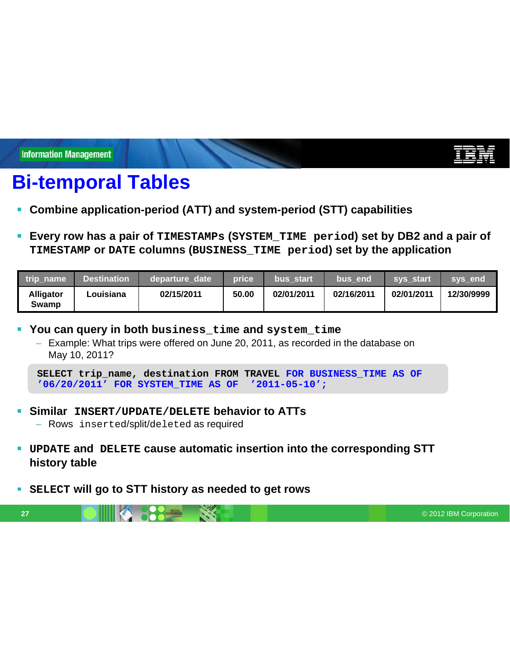# **Bi-temporal Tables**

- **Combine application-period (ATT) and system-period (STT) capabilities**
- **Every row has a pair of TIMESTAMPs (SYSTEM\_TIME period) set by DB2 and a pair of TIMESTAMP or DATE columns (BUSINESS\_TIME period) set by the application**

| trip name                 | <b>Destination</b> | departure date | price | bus start  | bus end    | <b>svs</b> start | sys end    |
|---------------------------|--------------------|----------------|-------|------------|------------|------------------|------------|
| <b>Alligator</b><br>Swamp | Louisiana          | 02/15/2011     | 50.00 | 02/01/2011 | 02/16/2011 | 02/01/2011       | 12/30/9999 |

- **You can query in both business\_time and system\_time**
	- Example: What trips were offered on June 20, 2011, as recorded in the database on May 10, 2011?

- **Similar INSERT/UPDATE/DELETE behavior to ATTs** – Rows inserted/split/deleted as required
- **UPDATE and DELETE cause automatic insertion into the corresponding STT history table**
- **SELECT will go to STT history as needed to get rows**  $\overline{\phantom{a}}$

**27** © 2012 IBM Corporation **CONTROL CONTROL CONTROL CONTROL CONTROL CONTROL CONTROL CONTROL CONTROL** 

**SELECT trip\_name, destination FROM TRAVEL FOR BUSINESS\_TIME AS OF '06/20/2011' FOR SYSTEM\_TIME AS OF '2011-05-10';**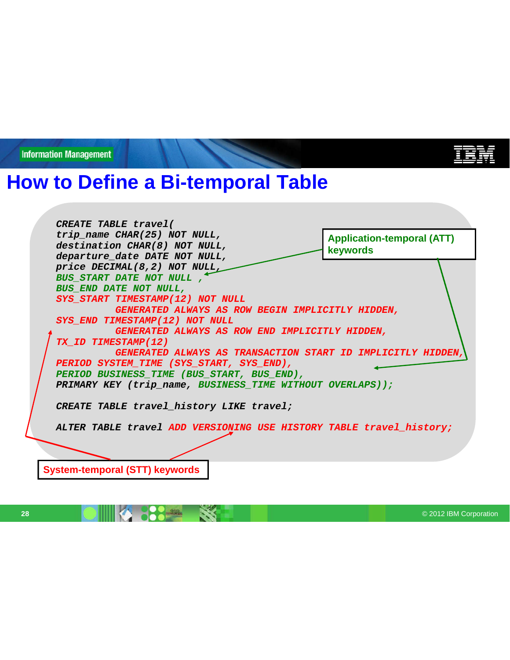## **How to Define a Bi-temporal Table**

*CREATE TABLE travel( trip\_name CHAR(25) NOT NULL, destination CHAR(8) NOT NULL, departure\_date DATE NOT NULL, price DECIMAL(8,2) NOT NULL, BUS\_START DATE NOT NULL , BUS\_END DATE NOT NULL, SYS\_START TIMESTAMP(12) NOT NULL GENERATED ALWAYS AS ROW BEGIN IMPLICITLY HIDDEN, SYS\_END TIMESTAMP(12) NOT NULL GENERATED ALWAYS AS ROW END IMPLICITLY HIDDEN, TX\_ID TIMESTAMP(12) GENERATED ALWAYS AS TRANSACTION START ID IMPLICITLY HIDDEN, PERIOD SYSTEM\_TIME (SYS\_START, SYS\_END), PERIOD BUSINESS\_TIME (BUS\_START, BUS\_END), PRIMARY KEY (trip\_name, BUSINESS\_TIME WITHOUT OVERLAPS)); CREATE TABLE travel\_history LIKE travel; ALTER TABLE travel ADD VERSIONING USE HISTORY TABLE travel\_history;* **Application-temporal (ATT) keywords System-temporal (STT) keywords**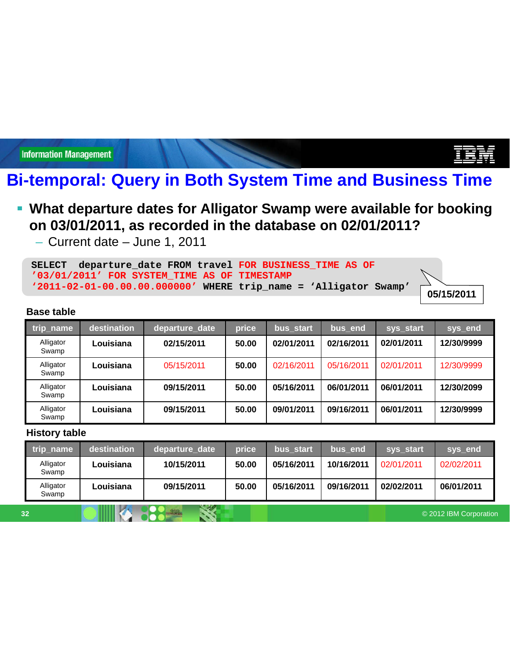## **Bi-temporal: Query in Both System Time and Business Time**

### **What departure dates for Alligator Swamp were available for booking on 03/01/2011, as recorded in the database on 02/01/2011?**

– Current date – June 1, 2011

|  |                                                |  | SELECT departure date FROM travel FOR BUSINESS TIME AS OF           |  |
|--|------------------------------------------------|--|---------------------------------------------------------------------|--|
|  | $103/01/2011'$ FOR SYSTEM TIME AS OF TIMESTAMP |  |                                                                     |  |
|  |                                                |  | $'2011-02-01-00.00.00.0000000'$ WHERE trip name = 'Alligator Swamp' |  |

**05/15/2011**

#### **Base table**

| trip_name          | destination | departure date | price | bus start  | bus end    | sys_start  | sys_end    |
|--------------------|-------------|----------------|-------|------------|------------|------------|------------|
| Alligator<br>Swamp | Louisiana   | 02/15/2011     | 50.00 | 02/01/2011 | 02/16/2011 | 02/01/2011 | 12/30/9999 |
| Alligator<br>Swamp | Louisiana   | 05/15/2011     | 50.00 | 02/16/2011 | 05/16/2011 | 02/01/2011 | 12/30/9999 |
| Alligator<br>Swamp | Louisiana   | 09/15/2011     | 50.00 | 05/16/2011 | 06/01/2011 | 06/01/2011 | 12/30/2099 |
| Alligator<br>Swamp | Louisiana   | 09/15/2011     | 50.00 | 09/01/2011 | 09/16/2011 | 06/01/2011 | 12/30/9999 |

#### **History table**

|    | trip_name          | destination | departure date | price | bus start  | bus end    | sys start              | sys_end    |
|----|--------------------|-------------|----------------|-------|------------|------------|------------------------|------------|
|    | Alligator<br>Swamp | Louisiana   | 10/15/2011     | 50.00 | 05/16/2011 | 10/16/2011 | 02/01/2011             | 02/02/2011 |
|    | Alligator<br>Swamp | Louisiana   | 09/15/2011     | 50.00 | 05/16/2011 | 09/16/2011 | 02/02/2011             | 06/01/2011 |
| 32 |                    |             |                |       |            |            | © 2012 IBM Corporation |            |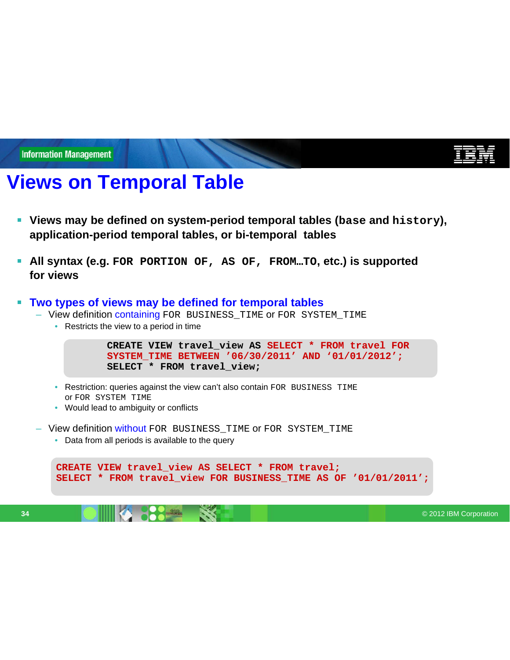# **Views on Temporal Table**

- **Views may be defined on system-period temporal tables (base and history), application-period temporal tables, or bi-temporal tables**
- **All syntax (e.g. FOR PORTION OF, AS OF, FROM…TO, etc.) is supported** Ē, **for views**

#### $\blacksquare$ **Two types of views may be defined for temporal tables**

- View definition containing FOR BUSINESS\_TIME or FOR SYSTEM\_TIME
	- Restricts the view to a period in time

```
CREATE VIEW travel_view AS SELECT * FROM travel FOR
SYSTEM_TIME BETWEEN '06/30/2011' AND '01/01/2012';
SELECT * FROM travel_view;
```
- Restriction: queries against the view can't also contain FOR BUSINESS TIME or FOR SYSTEM TIME
- Would lead to ambiguity or conflicts
- View definition without FOR BUSINESS\_TIME OF FOR SYSTEM\_TIME
	- Data from all periods is available to the query

```
CREATE VIEW travel_view AS SELECT * FROM travel;
SELECT * FROM travel_view FOR BUSINESS_TIME AS OF '01/01/2011';
```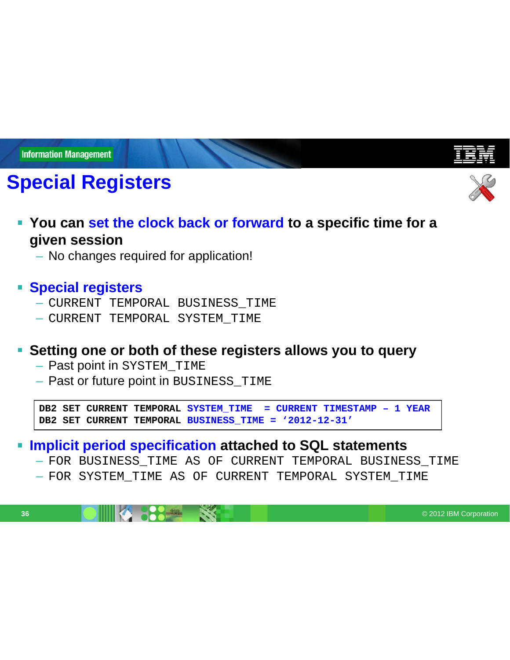# **Special Registers**



- **You can set the clock back or forward to a specific time for a given session**
	- No changes required for application!

### **Special registers**

- CURRENT TEMPORAL BUSINESS\_TIME
- CURRENT TEMPORAL SYSTEM\_TIME

#### **Setting one or both of these registers allows you to query**

- Past point in SYSTEM\_TIME
- Past or future point in BUSINESS\_TIME

**DB2 SET CURRENT TEMPORAL SYSTEM\_TIME = CURRENT TIMESTAMP – 1 YEAR DB2 SET CURRENT TEMPORAL BUSINESS\_TIME = '2012-12-31'**

#### **Implicit period specification attached to SQL statements**

- FOR BUSINESS\_TIME AS OF CURRENT TEMPORAL BUSINESS\_TIME
- FOR SYSTEM\_TIME AS OF CURRENT TEMPORAL SYSTEM\_TIME